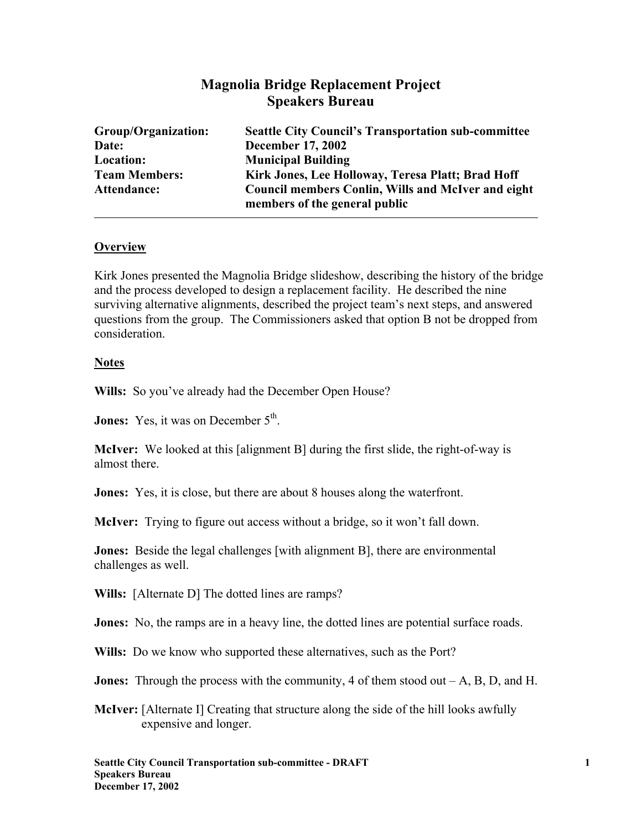# **Magnolia Bridge Replacement Project Speakers Bureau**

| Group/Organization:  | <b>Seattle City Council's Transportation sub-committee</b>                                 |
|----------------------|--------------------------------------------------------------------------------------------|
| Date:                | <b>December 17, 2002</b>                                                                   |
| Location:            | <b>Municipal Building</b>                                                                  |
| <b>Team Members:</b> | Kirk Jones, Lee Holloway, Teresa Platt; Brad Hoff                                          |
| Attendance:          | <b>Council members Conlin, Wills and McIver and eight</b><br>members of the general public |

# **Overview**

Kirk Jones presented the Magnolia Bridge slideshow, describing the history of the bridge and the process developed to design a replacement facility. He described the nine surviving alternative alignments, described the project team's next steps, and answered questions from the group. The Commissioners asked that option B not be dropped from consideration.

### **Notes**

**Wills:** So you've already had the December Open House?

**Jones:** Yes, it was on December 5<sup>th</sup>.

**McIver:** We looked at this [alignment B] during the first slide, the right-of-way is almost there.

**Jones:** Yes, it is close, but there are about 8 houses along the waterfront.

**McIver:** Trying to figure out access without a bridge, so it won't fall down.

**Jones:** Beside the legal challenges [with alignment B], there are environmental challenges as well.

**Wills:** [Alternate D] The dotted lines are ramps?

**Jones:** No, the ramps are in a heavy line, the dotted lines are potential surface roads.

**Wills:** Do we know who supported these alternatives, such as the Port?

**Jones:** Through the process with the community, 4 of them stood out  $-A$ ,  $B$ ,  $D$ , and  $H$ .

**McIver:** [Alternate I] Creating that structure along the side of the hill looks awfully expensive and longer.